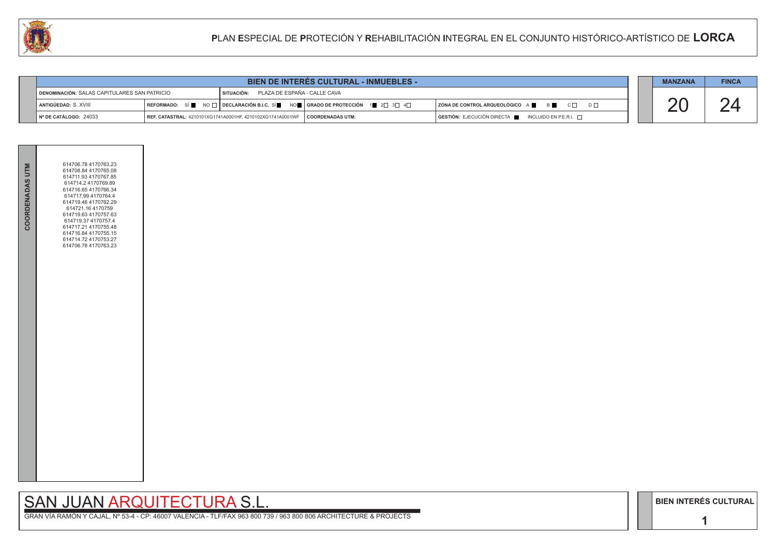**1**

# SAN JUAN ARQUITECTURA S.L.

GRAN VÍA RAMÓN Y CAJAL, Nº 53-4 - CP: 46007 VALENCIA - TLF/FAX 963 800 739 / 963 800 806 ARCHITECTURE & PROJECTS

|                                                                                                | <b>BIEN DE INTERES CULTURAL - INMUEBLES -</b> |                                                                               |                                                                                |                                                                                      |  | <b>MANZANA</b> | <b>FINCA</b> |
|------------------------------------------------------------------------------------------------|-----------------------------------------------|-------------------------------------------------------------------------------|--------------------------------------------------------------------------------|--------------------------------------------------------------------------------------|--|----------------|--------------|
| DENOMINACIÓN: SALAS CAPITULARES SAN PATRICIO<br><b>SITUACIÓN: PLAZA DE ESPAÑA - CALLE CAVA</b> |                                               |                                                                               |                                                                                |                                                                                      |  |                |              |
| <b>I ANTIGÜEDAD:</b> S. XVIII                                                                  |                                               |                                                                               | REFORMADO: SÍ NO $\Box$ DECLARACIÓN B.I.C. SÍ NO CRADO DE PROTECCIÓN 1 2 3 3 4 | ZONA DE CONTROL ARQUEOLÓGICO A ■ B B C □ D □                                         |  |                |              |
| $\vert$ N° DE CATÁLOGO: 24033                                                                  |                                               | REF. CATASTRAL: 4210101XG1741A0001HF, 4210102XG1741A0001WF   COORDENADAS UTM: |                                                                                | $\overline{)}$ GESTIÓN: EJECUCIÓN DIRECTA $\overline{)}$ INCLUIDO EN P.E.R.I. $\Box$ |  |                |              |



|--|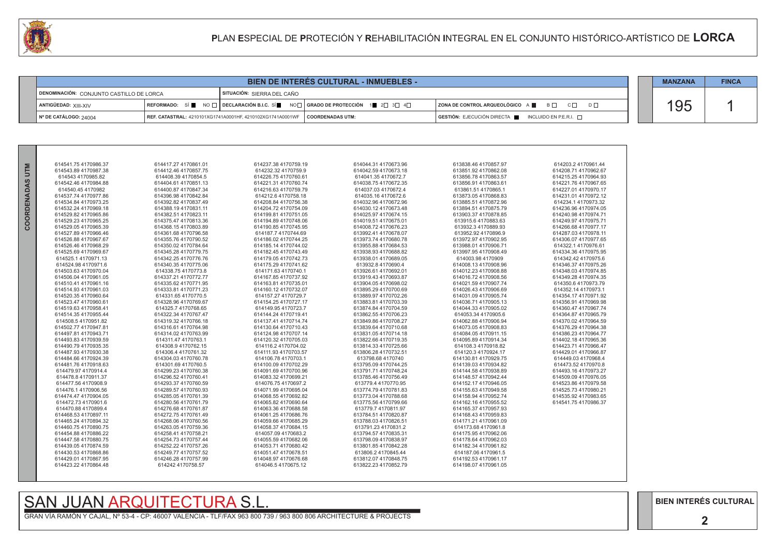GRAN VÍA RAMÓN Y CAJAL, Nº 53-4 - CP: 46007 VALENCIA - TLF/FAX 963 800 739 / 963 800 806 ARCHITECTURE & PROJECTS

| <b>BIEN DE INTERES CULTURAL - INMUEBLES -</b>                          |  |                                                                                                   |  |  |                                                                        |  | <b>MANZANA</b> | <b>FINCA</b> |
|------------------------------------------------------------------------|--|---------------------------------------------------------------------------------------------------|--|--|------------------------------------------------------------------------|--|----------------|--------------|
| DENOMINACIÓN: CONJUNTO CASTILLO DE LORCA<br>SITUACIÓN: SIFRRA DEL CAÑO |  |                                                                                                   |  |  |                                                                        |  |                |              |
| ANTIGÜEDAD: XIII-XIV                                                   |  | REFORMADO: SÍ NO $\Box$ DECLARACIÓN B.I.C. SÍ NO $\Box$ GRADO DE PROTECCIÓN 1 2 $\Box$ 3 4 $\Box$ |  |  | ZONA DE CONTROL ARQUEOLÓGICO A ■ B □ C □<br>$\Box$                     |  | 195            |              |
| $\parallel$ N° DE CATÁLOGO: 24004                                      |  | REF. CATASTRAL: 4210101XG1741A0001HF. 4210102XG1741A0001WF   COORDENADAS UTM:                     |  |  | $GESTIÓN: EJECUCIÓN DIRECTA \blacksquare INCLUIDO EN P.E.R.I. \square$ |  |                |              |



| Σ        | 614541.75 4170986.37 | 614417.27 4170861.01 | 614237.38 4170759.19 | 614044.31 4170673.96 | 613838.46 4170857.97 | 614203.24170  |
|----------|----------------------|----------------------|----------------------|----------------------|----------------------|---------------|
|          | 614543.89 4170987.38 | 614412.46 4170857.75 | 614232.32 4170759.9  | 614042.59 4170673.18 | 613851.92 4170862.08 | 614208.71417  |
|          | 614543 4170985.82    | 614408.39 4170854.5  | 614226.75 4170760.61 | 614041.35 4170672.7  | 613856.78 4170863.57 | 614215.25417  |
| RDENADAS | 614542.46 4170984.88 | 614404.61 4170851.13 | 614221.31 4170760.74 | 614038.754170672.35  | 613856.91 4170863.61 | 614221.76417  |
|          | 614540.45 4170982    | 614400.87 4170847.34 | 614216.63 4170759.79 | 614037.03 4170672.4  | 613861.51 4170865.1  | 614227.01 417 |
|          | 614537.74 4170977.86 | 614396.98 4170842.84 | 614212.6 4170758.18  | 614035.16 4170672.6  | 613873.05 4170868.83 | 614231.01 417 |
|          | 614534.84 4170973.25 | 614392.82 4170837.49 | 614208.84 4170756.38 | 614032.96 4170672.96 | 613885.51 4170872.96 | 614234.14170  |
|          | 614532.24 4170969.18 | 614388.194170831.11  | 614204.72 4170754.09 | 614030.12 4170673.48 | 613894.51 4170875.79 | 614236.96417  |
|          | 614529.82 4170965.86 | 614382.51 4170823.11 | 614199.81 4170751.05 | 614025.97 4170674.15 | 613903.37 4170878.85 | 614240.98 417 |
| Ō<br>O   | 614529.23 4170965.25 | 614375.47 4170813.36 | 614194.89 4170748.06 | 614019.51 4170675.01 | 613915.64170883.63   | 614249.97417  |
|          | 614529.05 4170965.39 | 614368.154170803.89  | 614190.85 4170745.95 | 614008.72 4170676.23 | 613932.3 4170889.93  | 614266.68417  |
|          | 614527.89 4170966.46 | 614361.68 4170796.58 | 614187.7 4170744.69  | 613992.41 4170678.07 | 613952.92 4170896.9  | 614287.03417  |
|          | 614526.88 4170967.67 | 614355.76 4170790.52 | 614186.02 4170744.25 | 613973.74 4170680.78 | 613972.97 4170902.95 | 614306.07 417 |
|          | 614526.46 4170968.29 | 614350.02 4170784.64 | 614185.14 4170744.02 | 613955.88 4170684.53 | 613988.01 4170906.71 | 614322.14170  |
|          | 614525.69 4170969.67 | 614345.28 4170779.75 | 614182.45 4170743.49 | 613938.93 4170688.82 | 613997.95 4170908.49 | 614334.36417  |
|          | 614525.1 4170971.13  | 614342.25 4170776.76 | 614179.05 4170742.73 | 613938.01 4170689.05 | 614003.98 4170909    | 614342.42417  |
|          | 614524.98 4170971.6  | 614340.354170775.06  | 614175.29 4170741.62 | 613932.84170690.4    | 614008.134170908.96  | 614346.37417  |
|          | 614503.63 4170970.04 | 614338.754170773.8   | 614171.63 4170740.1  | 613926.61 4170692.01 | 614012.23 4170908.88 | 614348.03417  |
|          | 614506.04 4170961.05 | 614337.21 4170772.77 | 614167.85 4170737.92 | 613919.43 4170693.87 | 614016.72 4170908.56 | 614349.28417  |
|          | 614510.41 4170961.16 | 614335.62 4170771.95 | 614163.81 4170735.01 | 613904.05 4170698.02 | 614021.59 4170907.74 | 614350.64170  |
|          | 614514.93 4170961.03 | 614333.81 4170771.23 | 614160.12 4170732.07 | 613895.29 4170700.69 | 614026.43 4170906.69 | 614352.14417  |
|          | 614520.35 4170960.64 | 614331.65 4170770.5  | 614157.27 4170729.7  | 613889.97 4170702.26 | 614031.09 4170905.74 | 614354.17417  |
|          | 614523.47 4170960.61 | 614328.96 4170769.67 | 614154.25 4170727.17 | 613883.81 4170703.39 | 614036.714170905.13  | 614356.91 417 |
|          | 614519.63 4170958.41 | 614325.7 4170768.65  | 614149.95 4170723.7  | 613874.84 4170704.59 | 614044.33 4170905.02 | 614360.47 417 |
|          | 614514.35 4170955.44 | 614322.34 4170767.47 | 614144.24 4170719.41 | 613862.55 4170706.23 | 614053.34 4170905.6  | 614364.87417  |
|          | 614508.54170951.82   | 614319.32 4170766.18 | 614137.41 4170714.74 | 613849.86 4170708.27 | 614062.88 4170906.94 | 614370.02417  |
|          | 614502.77 4170947.81 | 614316.61 4170764.98 | 614130.64 4170710.43 | 613839.64 4170710.68 | 614073.05 4170908.83 | 614376.29417  |
|          | 614497.81 4170943.71 | 614314.02 4170763.99 | 614124.98 4170707.14 | 613831.05 4170714.18 | 614084.05 4170911.15 | 614386.23417  |
|          | 614493.83 4170939.59 | 614311.47 4170763.1  | 614120.32 4170705.03 | 613822.66 4170719.35 | 614095.89 4170914.34 | 614402.18417  |
|          | 614490.79 4170935.35 | 614308.9 4170762.15  | 614116.24170704.02   | 613814.33 4170725.66 | 614108.34170918.82   | 614423.71417  |
|          | 614487.93 4170930.38 | 614306.4 4170761.32  | 614111.93 4170703.57 | 613806.28 4170732.51 | 614120.3 4170924.17  | 614429.01 417 |
|          | 614484.66 4170924.39 | 614304.03 4170760.78 | 614106.78 4170703.1  | 613798.68 4170740    | 614130.81 4170929.75 | 614449.03417  |
|          | 614481.76 4170918.63 | 614301.69 4170760.5  | 614100.09 4170702.29 | 613795.09 4170744.25 | 614139.03 4170934.82 | 614473.52417  |
|          | 614479.97 4170914.4  | 614299.23 4170760.38 | 614091.69 4170700.96 | 613791.71 4170748.24 | 614144.58 4170938.89 | 614493.16417  |
|          | 614478.8 4170911.37  | 614296.52 4170760.41 | 614083.32 4170699.21 | 613785.46 4170756.49 | 614148.57 4170942.44 | 614509.09417  |
|          | 614477.56 4170908.9  | 614293.37 4170760.59 | 614076.754170697.2   | 613779.4 4170770.95  | 614152.17 4170946.05 | 614523.86417  |
|          | 614476.14170906.56   | 614289.57 4170760.93 | 614071.99 4170695.04 | 613774.79 4170781.83 | 614155.63 4170949.58 | 614525.73417  |
|          | 614474.47 4170904.05 | 614285.054170761.39  | 614068.554170692.82  | 613773.04 4170788.68 | 614158.94 4170952.74 | 614535.92417  |
|          | 614472.73 4170901.6  | 614280.56 4170761.79 | 614065.82 4170690.64 | 613775.56 4170799.66 | 614162.16 4170955.52 | 614541.75417  |
|          | 614470.88 4170899.4  | 614276.68 4170761.87 | 614063.36 4170688.58 | 613779.7 4170811.97  | 614165.37 4170957.93 |               |
|          | 614468.53 4170897.11 | 614272.75 4170761.49 | 614061.25 4170686.76 | 613784.51 4170820.87 | 614168.43 4170959.83 |               |
|          | 614465.24 4170894.32 | 614268.06 4170760.56 | 614059.66 4170685.29 | 613788.03 4170826.51 | 614171.21 4170961.09 |               |
|          | 614460.75 4170890.75 | 614263.05 4170759.36 | 614058.37 4170684.15 | 613791.23 4170831.2  | 614173.68 4170961.8  |               |
|          | 614454.88 4170886.22 | 614258.41 4170758.21 | 614057.09 4170683.2  | 613794.57 4170835.31 | 614175.95 4170962.06 |               |
|          | 614447.58 4170880.75 | 614254.73 4170757.44 | 614055.59 4170682.06 | 613798.09 4170838.97 | 614178.64 4170962.03 |               |
|          | 614439.05 4170874.59 | 614252.22 4170757.26 | 614053.71 4170680.42 | 613801.85 4170842.28 | 614182.34 4170961.82 |               |
|          | 614430.53 4170868.86 | 614249.77 4170757.52 | 614051.47 4170678.51 | 613806.24170845.44   | 614187.06 4170961.5  |               |
|          | 614429.01 4170867.95 | 614246.28 4170757.99 | 614048.97 4170676.68 | 613812.07 4170848.75 | 614192.53 4170961.17 |               |
|          | 614423.22 4170864.48 | 614242 4170758.57    | 614046.54170675.12   | 613822.23 4170852.79 | 614198.07 4170961.05 |               |
|          |                      |                      |                      |                      |                      |               |
|          |                      |                      |                      |                      |                      |               |

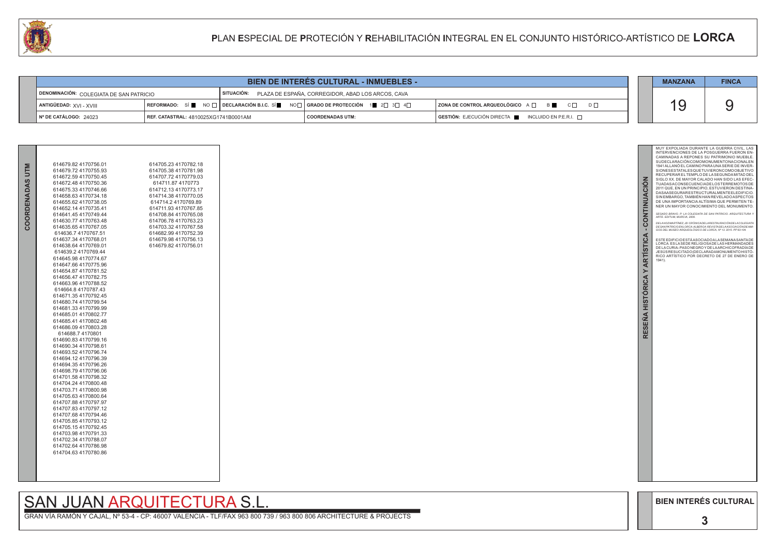GRAN VÍA RAMÓN Y CAJAL, Nº 53-4 - CP: 46007 VALENCIA - TLF/FAX 963 800 739 / 963 800 806 ARCHITECTURE & PROJECTS



| BIEN DE INTERES CULTURAL - INMUEBLES -                                                                  |                                      |                                                                                                          |                  |  | <b>MANZANA</b>                                                                               | <b>FINCA</b> |  |
|---------------------------------------------------------------------------------------------------------|--------------------------------------|----------------------------------------------------------------------------------------------------------|------------------|--|----------------------------------------------------------------------------------------------|--------------|--|
| SITUACIÓN: PLAZA DE ESPAÑA, CORREGIDOR, ABAD LOS ARCOS, CAVA<br>DENOMINACIÓN: COLEGIATA DE SAN PATRICIO |                                      |                                                                                                          |                  |  |                                                                                              |              |  |
| $\blacksquare$ ANTIGÜEDAD: $XVI - XVIII$                                                                |                                      | REFORMADO: SÍ NO $\Box$ DECLARACIÓN B.I.C. SÍ NO $\Box$ GRADO DE PROTECCIÓN 1 2 $\Box$ 3 $\Box$ 4 $\Box$ |                  |  | <b>ZONA DE CONTROL ARQUEOLÓGICO</b> A □ B C C D D □                                          |              |  |
| $\vert$ N° DE CATÁLOGO: 24023                                                                           | REF. CATASTRAL: 4810025XG1741B0001AM |                                                                                                          | COORDENADAS UTM: |  | $\overline{S}$ GESTIÓN: EJECUCIÓN DIRECTA $\overline{S}$ INCLUIDO EN P.E.R.I. $\overline{S}$ |              |  |



|                        | 614679.82 4170756.01                         | 614705.23 4170782.18 |
|------------------------|----------------------------------------------|----------------------|
|                        | 614679.72 4170755.93                         | 614705.38 4170781.98 |
|                        | 614672.59 4170750.45                         | 614707.72 4170779.03 |
|                        | 614672.48 4170750.36                         | 614711.87 4170773    |
|                        | 614675.33 4170746.66                         | 614712.13 4170773.17 |
|                        | 614658.63 4170734.18                         | 614714.38 4170770.05 |
|                        | 614655.62 4170738.05                         | 614714.24170769.89   |
|                        | 614652.14 4170735.41                         | 614711.93 4170767.85 |
|                        | 614641 45 4170749 44                         | 614708.84 4170765.08 |
| <b>COORDENADAS UTM</b> | 614630.77 4170763.48                         | 614706.78 4170763.23 |
|                        | 614635.65 4170767.05                         | 614703.32 4170767.58 |
|                        | 614636.74170767.51                           | 614682.99 4170752.39 |
|                        | 614637.34 4170768.01                         | 614679.98 4170756.13 |
|                        | 614638.64 4170769.01                         | 614679.82 4170756.01 |
|                        | 614639.24170769.44                           |                      |
|                        | 614645.98 4170774.67                         |                      |
|                        | 614647.66 4170775.96                         |                      |
|                        | 614654.87 4170781.52                         |                      |
|                        | 614656.47 4170782.75                         |                      |
|                        | 614663.96 4170788.52                         |                      |
|                        | 614664.8 4170787.43                          |                      |
|                        | 614671.35 4170792.45                         |                      |
|                        | 614680.74 4170799.54                         |                      |
|                        | 614681.33 4170799.99                         |                      |
|                        | 614685.01 4170802.77<br>614685.41 4170802.48 |                      |
|                        | 614686.09 4170803.28                         |                      |
|                        | 614688.74170801                              |                      |
|                        | 614690.83 4170799.16                         |                      |
|                        | 614690.34 4170798.61                         |                      |
|                        | 614693.52 4170796.74                         |                      |
|                        | 614694.12 4170796.39                         |                      |
|                        | 614694.354170796.26                          |                      |
|                        | 614698.79 4170796.06                         |                      |
|                        | 614701.58 4170798.32                         |                      |
|                        | 614704.24 4170800.48                         |                      |
|                        | 614703.714170800.98                          |                      |
|                        | 614705.63 4170800.64                         |                      |
|                        | 614707.88 4170797.97                         |                      |
|                        | 614707.83 4170797.12                         |                      |
|                        | 614707.68 4170794.46                         |                      |
|                        | 614705.85 4170793.12                         |                      |
|                        | 614705.154170792.45                          |                      |
|                        | 614703.98 4170791.33                         |                      |
|                        | 614702.34 4170788.07                         |                      |
|                        | 614702.64 4170786.98                         |                      |
|                        | 614704.63 4170780.86                         |                      |
|                        |                                              |                      |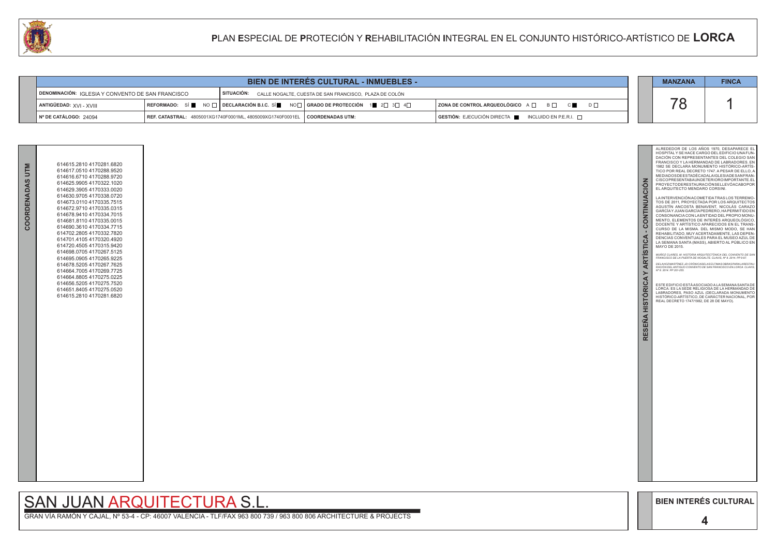GRAN VÍA RAMÓN Y CAJAL, Nº 53-4 - CP: 46007 VALENCIA - TLF/FAX 963 800 739 / 963 800 806 ARCHITECTURE & PROJECTS



| <b>BIEN DE INTERES CULTURAL - INMUEBLES -</b>                                                                          |  |                                                                                                          |                      |  | <b>MANZANA</b>                                                          | <b>FINCA</b> |  |
|------------------------------------------------------------------------------------------------------------------------|--|----------------------------------------------------------------------------------------------------------|----------------------|--|-------------------------------------------------------------------------|--------------|--|
| SITUACIÓN: CALLE NOGALTE, CUESTA DE SAN FRANCISCO, PLAZA DE COLÓN<br>DENOMINACIÓN: IGLESIA Y CONVENTO DE SAN FRANCISCO |  |                                                                                                          |                      |  |                                                                         |              |  |
| $\blacksquare$ ANTIGÜEDAD: $XVI - XVIII$                                                                               |  | REFORMADO: SÍ NO $\Box$ DECLARACIÓN B.I.C. SÍ NO $\Box$ GRADO DE PROTECCIÓN 1 2 $\Box$ 3 $\Box$ 4 $\Box$ |                      |  | $ $ ZONA DE CONTROL ARQUEOLÓGICO $A \Box$ $B \Box$ $C \Box$<br>$D \Box$ |              |  |
| Nº DE CATÁLOGO: 24094                                                                                                  |  | REF. CATASTRAL: 4805001XG1740F0001ML, 4805009XG1740F0001EL                                               | ∣ I COORDENADAS UTM: |  | $GESTIÓN: EJECUCIÓN DIRECTA \blacksquare INCLUIDO EN P.E.R.I. \square$  |              |  |



#### **P**LAN **E**SPECIAL DE **P**ROTECIÓN Y **R**EHABILITACIÓN **I**NTEGRAL EN EL CONJUNTO HISTÓRICO-ARTÍSTICO DE **LORCA**

| COORDENADAS UTM | 614615.2810 4170281.6820<br>614617.0510 4170288.9520<br>614616.6710 4170288.9720<br>614625.9905 4170322.1020<br>614629.3905 4170333.0020<br>614630.9705 4170338.0720<br>614673.0110 4170335.7515<br>614672.9710 4170335.0315<br>614678.9410 4170334.7015<br>614681 8110 4170335 0015<br>614690.3610 4170334.7715<br>614702.2805 4170332.7820<br>614701.4105 4170320.4920<br>614720.4505 4170315.9420<br>614698.0705 4170267.5125<br>614695.0905 4170265.9225<br>614678.5205 4170267.7625<br>614664.7005 4170269.7725<br>614664.8805 4170275.0225<br>614656.5205 4170275.7520<br>614651.8405 4170275.0520<br>614615.2810 4170281.6820 |  |
|-----------------|--------------------------------------------------------------------------------------------------------------------------------------------------------------------------------------------------------------------------------------------------------------------------------------------------------------------------------------------------------------------------------------------------------------------------------------------------------------------------------------------------------------------------------------------------------------------------------------------------------------------------------------|--|

# SAN JUAN ARQUITECTURA S.L.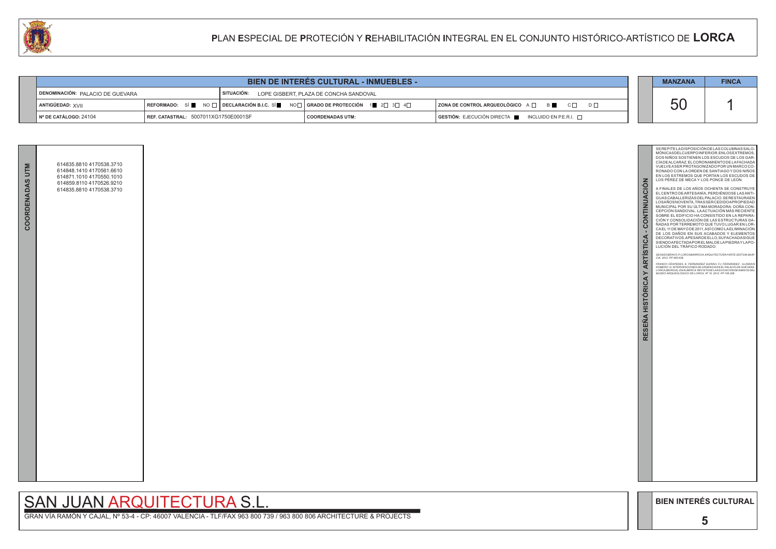GRAN VÍA RAMÓN Y CAJAL, Nº 53-4 - CP: 46007 VALENCIA - TLF/FAX 963 800 739 / 963 800 806 ARCHITECTURE & PROJECTS

|          |                                                 | <b>MANZANA</b>                                                                                                                                          | <b>FINCA</b>                                                                                                                                                                                                                                                                                                                                                                                                                                                                                                                                                                                                                                                                                                                                                                                                                                                                                                                                                                                                                                                                                                                                                                                                                         |
|----------|-------------------------------------------------|---------------------------------------------------------------------------------------------------------------------------------------------------------|--------------------------------------------------------------------------------------------------------------------------------------------------------------------------------------------------------------------------------------------------------------------------------------------------------------------------------------------------------------------------------------------------------------------------------------------------------------------------------------------------------------------------------------------------------------------------------------------------------------------------------------------------------------------------------------------------------------------------------------------------------------------------------------------------------------------------------------------------------------------------------------------------------------------------------------------------------------------------------------------------------------------------------------------------------------------------------------------------------------------------------------------------------------------------------------------------------------------------------------|
| $D \Box$ |                                                 | 50                                                                                                                                                      |                                                                                                                                                                                                                                                                                                                                                                                                                                                                                                                                                                                                                                                                                                                                                                                                                                                                                                                                                                                                                                                                                                                                                                                                                                      |
|          | ESEÑA HISTÓRICA Y ARTÍSTICA - CONTINUACIÓN<br>œ | LOS PÉREZ DE MECA Y LOS PONCE DE LEÓN.<br>LUCIÓN DEL TRAFICO RODADO.<br>CIA. 2012. PP 400-428.<br>MUSEO ARQUEOLÓGICO DE LORCA, Nº 10. 2012. PP 195-206. | SEREPITE LADISPOSICIÓN DE LAS COLUMNAS SALO-<br>MONICASDELCUERPOINFERIOR.ENLOSEXTREMOS,<br>DOS NIÑOS SOSTIENEN LOS ESCUDOS DE LOS GAR-<br>CIADEALCARAZ. EL CORONAMIENTO DE LAFACHADA<br>VUELVE A SER PROTAGONIZADO POR UN MARCO CO-<br>RONADO CON LA ORDEN DE SANTIAGO Y DOS NIÑOS<br>EN LOS EXTREMOS QUE PORTAN LOS ESCUDOS DE<br>A FINALES DE LOS AÑOS OCHENTA SE CONSTRUYE<br>EL CENTRO DE ARTESANIA, PERDIÉNDOSE LAS ANTI-<br>GUAS CABALLERIZAS DEL PALACIO. SE RESTAURAEN<br>LOSAÑOSNOVENTA, TRASSER CEDIDOAPROPIEDAD<br>MUNICIPAL POR SU ÚLTIMA MORADORA: DOÑA CON-<br>CEPCION SANDOVAL. LA ACTUACIÓN MÁS RECIENTE<br>SOBRE EL EDIFICIO HA CONSISTIDO EN LA REPARA-<br>CIÓN Y CONSOLIDACIÓN DE LAS ESTRUCTURAS DA-<br>NADAS POR TERREMOTO QUE TUVO LUGAR EN LOR-<br>CAEL 11 DE MAYO DE 2011, ASÍ COMO LA ELIMINACIÓN<br>DE LOS DAÑOS EN SUS ACABADOS Y ELEMENTOS<br>DECORATIVOS.APESARDEELLO, SUFACHADASIGUE<br>SIENDOAFECTADAPORELMALDELAPIEDRAYLAPO-<br>SEGADOBRAVO, P:LORCABARROCA.ARQUITECTURAYARTE.EDITUM.MUR-<br>FRANCO CÉSPEDES, E; FERNANDEZ GUIRAO, FJ; FERNÁNDEZ - ILUNDAIN<br>ROMERO, G: INTERVENCIONES DE URGENCIA EN EL PALACIO DE GUEVARA,<br>LORCA (MURCIA). EN ALBERCA: REVISTA DE LA ASOCIACIÓN DE AMIGOS DEL |
|          |                                                 | <b>BIEN INTERÉS CULTURAL</b>                                                                                                                            |                                                                                                                                                                                                                                                                                                                                                                                                                                                                                                                                                                                                                                                                                                                                                                                                                                                                                                                                                                                                                                                                                                                                                                                                                                      |
|          |                                                 | 5                                                                                                                                                       |                                                                                                                                                                                                                                                                                                                                                                                                                                                                                                                                                                                                                                                                                                                                                                                                                                                                                                                                                                                                                                                                                                                                                                                                                                      |

| <b>BIEN DE INTERES CULTURAL - INMUEBLES -</b> |                                      |  |                                                                                                                                                                      |                                                   |                    |  | <b>MANZANA</b>                                       | <b>FINCA</b> |           |  |
|-----------------------------------------------|--------------------------------------|--|----------------------------------------------------------------------------------------------------------------------------------------------------------------------|---------------------------------------------------|--------------------|--|------------------------------------------------------|--------------|-----------|--|
| DENOMINACIÓN: PALACIO DE GUEVARA              |                                      |  |                                                                                                                                                                      | SITUACIÓN: LOPE GISBERT, PLAZA DE CONCHA SANDOVAL |                    |  |                                                      |              |           |  |
| ANTIGÜEDAD: XVII                              |                                      |  | REFORMADO: SÍ $\blacksquare$ NO $\square$ DECLARACIÓN B.I.C. SÍ $\blacksquare$ NO $\square$ GRADO DE PROTECCIÓN 1 $\blacksquare$ 2 $\square$ 3 $\square$ 4 $\square$ |                                                   |                    |  | ZONA DE CONTROL ARQUEOLÓGICO A □ B C □ D □           |              | <b>50</b> |  |
| ∥ Nº DE CATÁLOGO: 24104                       | REF. CATASTRAL: 5007011XG1750E0001SF |  |                                                                                                                                                                      |                                                   | I COORDENADAS UTM: |  | GESTIÓN: EJECUCIÓN DIRECTA ██ INCLUIDO EN P.E.R.I. □ |              |           |  |



## **P**LAN **E**SPECIAL DE **P**ROTECIÓN Y **R**EHABILITACIÓN **I**NTEGRAL EN EL CONJUNTO HISTÓRICO-ARTÍSTICO DE **LORCA**



# SAN JUAN ARQUITECTURA S.L.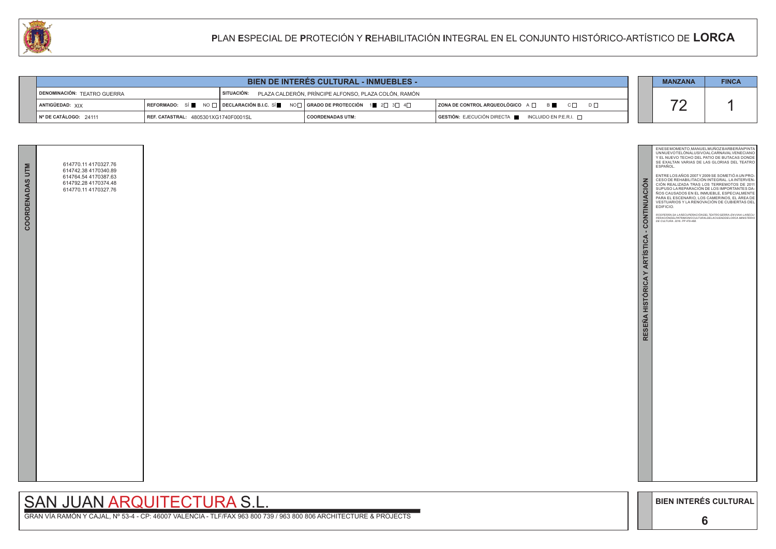GRAN VÍA RAMÓN Y CAJAL, Nº 53-4 - CP: 46007 VALENCIA - TLF/FAX 963 800 739 / 963 800 806 ARCHITECTURE & PROJECTS

|          |                                             | <b>MANZANA</b>                                                                         | <b>FINCA</b>                                                                                                                                                                                                                                                                                                                                                                                                                                                                                                                                                                                                                                                      |
|----------|---------------------------------------------|----------------------------------------------------------------------------------------|-------------------------------------------------------------------------------------------------------------------------------------------------------------------------------------------------------------------------------------------------------------------------------------------------------------------------------------------------------------------------------------------------------------------------------------------------------------------------------------------------------------------------------------------------------------------------------------------------------------------------------------------------------------------|
| $D \Box$ |                                             | 72                                                                                     |                                                                                                                                                                                                                                                                                                                                                                                                                                                                                                                                                                                                                                                                   |
|          | RESENA HISTÓRICA Y ARTÍSTICA - CONTINUACIÓN | ESPAÑOL.<br>EDIFICIO.<br>DE CULTURA. 2016. PP 479-488.<br><b>BIEN INTERÉS CULTURAL</b> | ENESEMOMENTO, MANUELMUÑOZ BARBERÁN PINTA<br>UNNUEVOTELÓNALUSIVOALCARNAVALVENECIANO<br>Y EL NUEVO TECHO DEL PATIO DE BUTACAS DONDE<br>SE EXALTAN VARIAS DE LAS GLORIAS DEL TEATRO<br>ENTRE LOS AÑOS 2007 Y 2009 SE SOMETIÓ A UN PRO-<br>CESO DE REHABILITACIÓN INTEGRAL. LA INTERVEN-<br>CIÓN REALIZADA TRAS LOS TERREMOTOS DE 2011<br>SUPUSO LA REPARACIÓN DE LOS IMPORTANTES DA-<br>ÑOS CAUSADOS EN EL INMUEBLE, ESPECIALMENTE<br>PARA EL ESCENARIO, LOS CAMERINOS, EL ÁREA DE<br>VESTUARIOS Y LA RENOVACIÓN DE CUBIERTAS DEL<br>ROS PERÁN, SA: LA RECUPERACIÓN DEL TEATRO GERRA. EN VVAA: LA RECU-<br>PERACIÓNDELPATRIMONIOCULTURALDELACIUDADDELORCA.MINISTERIO |
|          |                                             | 6                                                                                      |                                                                                                                                                                                                                                                                                                                                                                                                                                                                                                                                                                                                                                                                   |

| <b>BIEN DE INTERES CULTURAL - INMUEBLES -</b> |                                                                                                                                                              |  |                    |  |                                                         |  | <b>MANZANA</b>           | <b>FINCA</b> |
|-----------------------------------------------|--------------------------------------------------------------------------------------------------------------------------------------------------------------|--|--------------------|--|---------------------------------------------------------|--|--------------------------|--------------|
| <b>DENOMINACIÓN: TEATRO GUERRA</b>            | SITUACIÓN: PLAZA CALDERÓN, PRÍNCIPE ALFONSO, PLAZA COLÓN, RAMÓN                                                                                              |  |                    |  |                                                         |  |                          |              |
| ANTIGÜEDAD: XIX                               | $\mid$ REFORMADO: SÍ $\blacksquare$ NO $\Box$ DECLARACIÓN B.I.C. SÍ $\blacksquare$ NO $\Box$ GRADO DE PROTECCIÓN 1 $\blacksquare$ 2 $\Box$ 3 $\Box$ 4 $\Box$ |  |                    |  | $ $ ZONA DE CONTROL ARQUEOLÓGICO A $\Box$ B<br>$D \Box$ |  | $\overline{\phantom{a}}$ |              |
| Nº DE CATÁLOGO: 24111                         | <b>REF. CATASTRAL: 4805301XG1740F0001SL</b>                                                                                                                  |  | I COORDENADAS UTM: |  | GESTIÓN: EJECUCIÓN DIRECTA NEUNCLUIDO EN P.E.R.I.       |  |                          |              |



| COORDENADAS UTM | 614770.11 4170327.76<br>614742.38 4170340.89<br>614764.54 4170387.63<br>614792.28 4170374.48<br>614770.11 4170327.76 |  |
|-----------------|----------------------------------------------------------------------------------------------------------------------|--|
|                 |                                                                                                                      |  |
|                 |                                                                                                                      |  |
|                 |                                                                                                                      |  |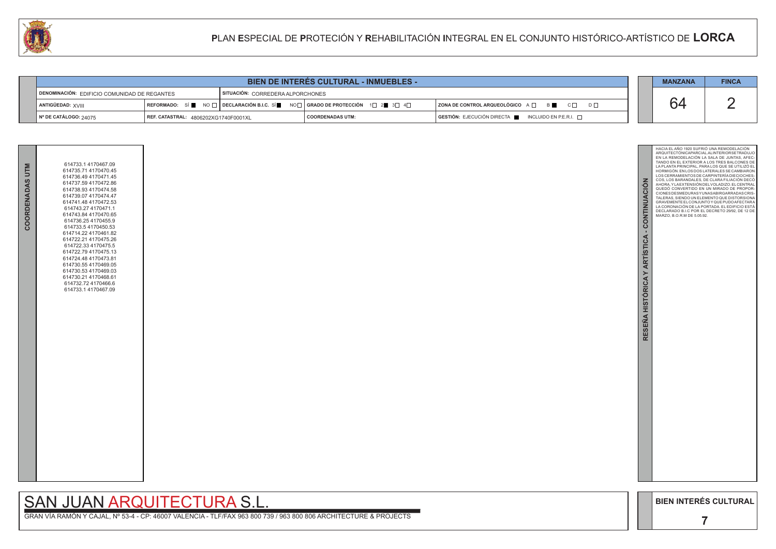GRAN VÍA RAMÓN Y CAJAL, Nº 53-4 - CP: 46007 VALENCIA - TLF/FAX 963 800 739 / 963 800 806 ARCHITECTURE & PROJECTS



|                                                     |                                      | <b>MANZANA</b>                                                                                            | <b>FINCA</b>       |  |                                                                                      |    |  |
|-----------------------------------------------------|--------------------------------------|-----------------------------------------------------------------------------------------------------------|--------------------|--|--------------------------------------------------------------------------------------|----|--|
| <b>DENOMINACIÓN: EDIFICIO COMUNIDAD DE REGANTES</b> |                                      | SITUACIÓN: CORREDERA ALPORCHONES                                                                          |                    |  |                                                                                      |    |  |
| ANTIGÜEDAD: XVIII                                   |                                      | REFORMADO: SÍ NO $\Box$ DECLARACIÓN B.I.C. SÍ NO $\Box$ GRADO DE PROTECCIÓN 1 $\Box$ 20 3 $\Box$ 4 $\Box$ |                    |  | ZONA DE CONTROL ARQUEOLÓGICO A □ B C □ D □                                           | 64 |  |
| │ Nº DE CATÁLOGO: 24075                             | REF. CATASTRAL: 4806202XG1740F0001XL |                                                                                                           | I COORDENADAS UTM: |  | $\blacksquare$ GESTIÓN: EJECUCIÓN DIRECTA $\blacksquare$ INCLUIDO EN P.E.R.I. $\Box$ |    |  |



| COORDENADAS UTM | 614733.1 4170467.09<br>614735.71 4170470.45<br>614736.49 4170471.45<br>614737.59 4170472.86<br>614738.93 4170474.58<br>614739.07 4170474.47<br>614741.48 4170472.53<br>614743.27 4170471.1<br>614743.84 4170470.65<br>614736.254170455.9<br>614733.54170450.53<br>614714.22 4170461.82<br>614722.21 4170475.26<br>614722.33 4170475.5<br>614722.79 4170475.13<br>614724.48 4170473.81<br>614730.554170469.05<br>614730.53 4170469.03<br>614730.21 4170468.61<br>614732.72 4170466.6<br>614733.1 4170467.09 |  |
|-----------------|------------------------------------------------------------------------------------------------------------------------------------------------------------------------------------------------------------------------------------------------------------------------------------------------------------------------------------------------------------------------------------------------------------------------------------------------------------------------------------------------------------|--|
|                 |                                                                                                                                                                                                                                                                                                                                                                                                                                                                                                            |  |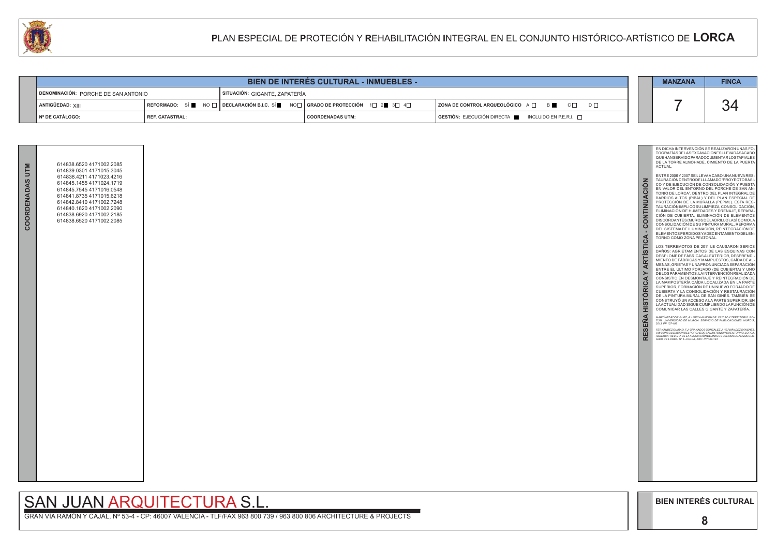

**Contract Contract** 

GRAN VÍA RAMÓN Y CAJAL, Nº 53-4 - CP: 46007 VALENCIA - TLF/FAX 963 800 739 / 963 800 806 ARCHITECTURE & PROJECTS



| <b>CAN</b> |                                        |                 | <b>PLAN ESPECIAL DE PROTECIÓN Y REHABILITACIÓN INTEGRAL EN EL CONJUNTO HISTÓRICO-ARTÍSTICO DE LORCA</b>                                                                                   |                         |  |                                                     |  |  |              |  |
|------------|----------------------------------------|-----------------|-------------------------------------------------------------------------------------------------------------------------------------------------------------------------------------------|-------------------------|--|-----------------------------------------------------|--|--|--------------|--|
|            |                                        |                 |                                                                                                                                                                                           |                         |  |                                                     |  |  |              |  |
|            | BIEN DE INTERÉS CULTURAL - INMUEBLES - |                 |                                                                                                                                                                                           |                         |  |                                                     |  |  | <b>FINCA</b> |  |
|            | DENOMINACIÓN: PORCHE DE SAN ANTONIO    |                 | SITUACIÓN: GIGANTE, ZAPATERÍA                                                                                                                                                             |                         |  |                                                     |  |  |              |  |
|            | ANTIGÜEDAD: XIII                       |                 | $\mid$ REFORMADO: $\;$ SÍ $\blacksquare$ $\;$ NO $\Box$ $\mid$ DECLARACIÓN B.I.C. SÍ $\blacksquare$ NO $\Box$ $\mid$ GRADO DE PROTECCIÓN $\;$ 1 $\Box$ 2 $\blacksquare$ 3 $\Box$ 4 $\Box$ |                         |  | ZONA DE CONTROL ARQUEOLÓGICO A □ B B C □ D □        |  |  | 34           |  |
|            | │ Nº DE CATÁLOGO:                      | REF. CATASTRAL: |                                                                                                                                                                                           | <b>COORDENADAS UTM:</b> |  | GESTIÓN: EJECUCIÓN DIRECTA ■ INCLUIDO EN P.E.R.I. □ |  |  |              |  |

| COORDENADAS UTM | 614838.6520 4171002.2085<br>614839.0301 4171015.3045<br>614838.4211 4171023.4216<br>614845.1455 4171024.1719<br>614845.7545 4171016.0548<br>614841.8735 4171015.6218<br>614842.8410 4171002.7248<br>614840.1620 4171002.2090<br>614838.6920 4171002.2185<br>614838.6520 4171002.2085 |  |
|-----------------|--------------------------------------------------------------------------------------------------------------------------------------------------------------------------------------------------------------------------------------------------------------------------------------|--|
|                 |                                                                                                                                                                                                                                                                                      |  |
|                 |                                                                                                                                                                                                                                                                                      |  |
|                 |                                                                                                                                                                                                                                                                                      |  |
|                 |                                                                                                                                                                                                                                                                                      |  |
|                 |                                                                                                                                                                                                                                                                                      |  |
|                 |                                                                                                                                                                                                                                                                                      |  |
|                 |                                                                                                                                                                                                                                                                                      |  |
|                 |                                                                                                                                                                                                                                                                                      |  |

# SAN JUAN ARQUITECTURA S.L.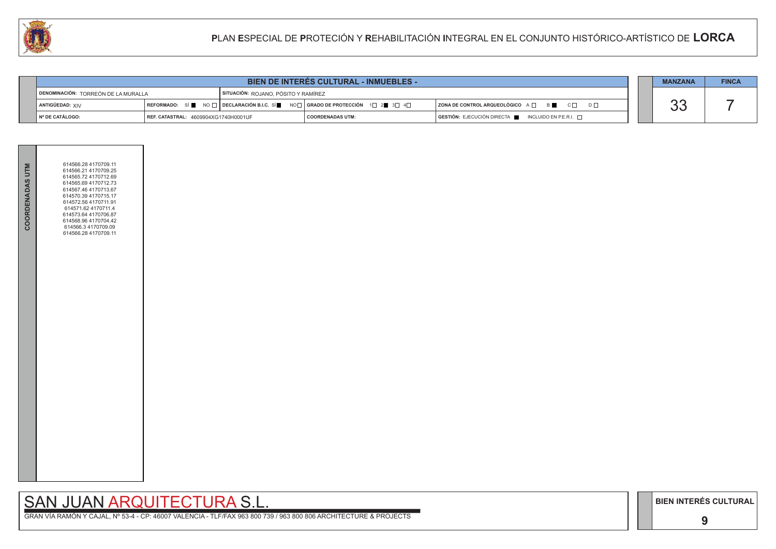**9**

# SAN JUAN ARQUITECTURA S.L.

GRAN VÍA RAMÓN Y CAJAL, Nº 53-4 - CP: 46007 VALENCIA - TLF/FAX 963 800 739 / 963 800 806 ARCHITECTURE & PROJECTS

|                                     |                                      | <b>MANZANA</b>                                                                                           | <b>FINCA</b>                                                           |  |                |  |  |
|-------------------------------------|--------------------------------------|----------------------------------------------------------------------------------------------------------|------------------------------------------------------------------------|--|----------------|--|--|
| DENOMINACIÓN: TORREÓN DE LA MURALLA |                                      | SITUACIÓN: ROJANO, PÓSITO Y RAMÍREZ                                                                      |                                                                        |  |                |  |  |
| ANTIGÜEDAD: <sub>XIV</sub>          |                                      | REFORMADO: SÍ NO $\Box$ DECLARACIÓN B.I.C. SÍ NO $\Box$ GRADO DE PROTECCIÓN 1 $\Box$ 2 3 $\Box$ 4 $\Box$ | ZONA DE CONTROL ARQUEOLÓGICO A □ B C □ D □                             |  | $\Omega$<br>UU |  |  |
| l № DE CATÁLOGO:                    | REF. CATASTRAL: 4609904XG1740H0001UF | <b>COORDENADAS UTM:</b>                                                                                  | $GESTIÓN: EJECUCIÓN DIRECTA \blacksquare INCLUIDO EN P.E.R.I. \square$ |  |                |  |  |



| <b>COORDENADAS UTM</b> | 614566.28 4170709.11<br>614566.21 4170709.25<br>614565.72 4170712.69<br>614565.69 4170712.73<br>614567.46 4170713.67<br>614570.39 4170715.17<br>614572.56 4170711.91<br>614571.62 4170711.4<br>614573.64 4170706.87<br>614568.96 4170704.42<br>614566.3 4170709.09<br>614566.28 4170709.11 |  |
|------------------------|--------------------------------------------------------------------------------------------------------------------------------------------------------------------------------------------------------------------------------------------------------------------------------------------|--|
|                        |                                                                                                                                                                                                                                                                                            |  |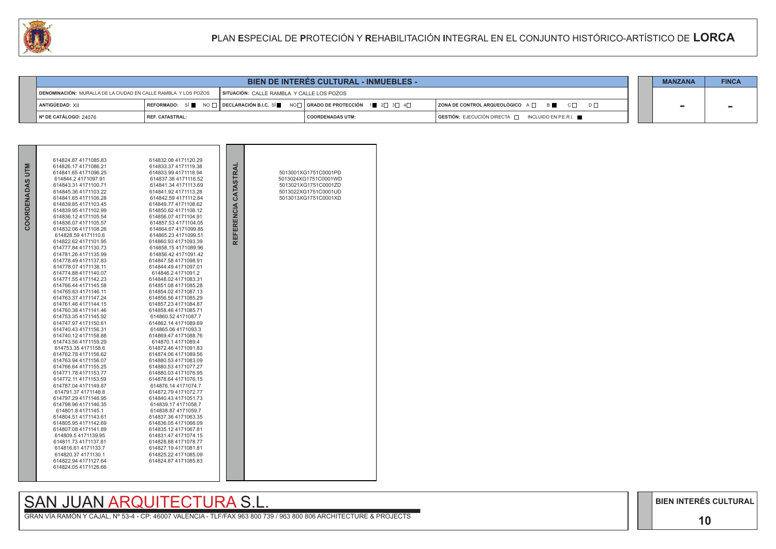#### **10**

# SAN JUAN ARQUITECTURA S.L.

GRAN VÍA RAMÓN Y CAJAL, Nº 53-4 - CP: 46007 VALENCIA - TLF/FAX 963 800 739 / 963 800 806 ARCHITECTURE & PROJECTS



| 44                    |                                                                |                                                                                                   |                                           |  | PLAN ESPECIAL DE PROTECIÓN Y REHABILITACIÓN INTEGRAL EN EL CONJUNTO HISTÓRICO-ARTÍSTICO DE LORCA |  |  |              |
|-----------------------|----------------------------------------------------------------|---------------------------------------------------------------------------------------------------|-------------------------------------------|--|--------------------------------------------------------------------------------------------------|--|--|--------------|
|                       |                                                                |                                                                                                   |                                           |  |                                                                                                  |  |  |              |
|                       | <b>BIEN DE INTERÉS CULTURAL - INMUEBLES -</b>                  |                                                                                                   |                                           |  |                                                                                                  |  |  | <b>FINCA</b> |
|                       | DENOMINACIÓN: MURALLA DE LA CIUDAD EN CALLE RAMBLA Y LOS POZOS |                                                                                                   | SITUACIÓN: CALLE RAMBLA Y CALLE LOS POZOS |  |                                                                                                  |  |  |              |
| ANTIGÜEDAD: XII       |                                                                | REFORMADO: SÍ NO $\Box$ DECLARACIÓN B.I.C. SÍ NO $\Box$ GRADO DE PROTECCIÓN 1 2 $\Box$ 3 4 $\Box$ |                                           |  | ZONA DE CONTROL ARQUEOLÓGICO A $\Box$ B $\Box$ C $\Box$ D $\Box$                                 |  |  |              |
| N° DE CATÁLOGO: 24076 | <b>REF. CATASTRAL:</b>                                         |                                                                                                   | <b>COORDENADAS UTM:</b>                   |  | GESTIÓN: EJECUCIÓN DIRECTA   INCLUIDO EN P.E.R.I.                                                |  |  |              |

|             | 614824.87 4171085.83                         | 614832.08 4171120.29                         |                      |                      |
|-------------|----------------------------------------------|----------------------------------------------|----------------------|----------------------|
| <b>NLLN</b> | 614826.17 4171086.21                         | 614833.37 4171119.38                         |                      |                      |
|             | 614841.65 4171096.25                         | 614833.99 4171118.94                         |                      | 5013001XG1751C0001PD |
|             | 614844.2 4171097.91                          | 614837.38 4171116.52                         |                      | 5013024XG1751C0001WD |
|             | 614843.31 4171100.71                         | 614841.34 4171113.69                         |                      | 5013021XG1751C0001ZD |
|             | 614845.36 4171103.22                         | 614841.92 4171113.28                         |                      | 5013022XG1751C0001UD |
|             | 614841.65 4171106.28                         | 614842.59 4171112.84                         |                      | 5013013XG1751C0001XD |
|             | 614839.85 4171103.45<br>614839.95 4171102.99 | 614849.77 4171108.62<br>614850.62 4171108.12 |                      |                      |
|             | 614836.12 4171105.54                         | 614856.07 4171104.91                         |                      |                      |
|             | 614836.07 4171105.57                         | 614857.53 4171104.05                         |                      |                      |
| COORDENADAS | 614832.06 4171108.26                         | 614864.67 4171099.85                         | REFERENCIA CATASTRAL |                      |
|             | 614828.59 4171110.6                          | 614865.23 4171099.51                         |                      |                      |
|             | 614822.62 4171101.95                         | 614860.93 4171093.39                         |                      |                      |
|             | 614777.84 4171130.73                         | 614858.154171089.96                          |                      |                      |
|             | 614781.26 4171135.99                         | 614856.42 4171091.42                         |                      |                      |
|             | 614778.49 4171137.83                         | 614847.58 4171098.91                         |                      |                      |
|             | 614778.07 4171138.11                         | 614844.49 4171097.01                         |                      |                      |
|             | 614774.88 4171140.07                         | 614846.24171091.2                            |                      |                      |
|             | 614771.55 4171142.23                         | 614848.02 4171083.31                         |                      |                      |
|             | 614766.44 4171145.58                         | 614851.08 4171085.28                         |                      |                      |
|             | 614765.63 4171146.11                         | 614854.02 4171087.13                         |                      |                      |
|             | 614763.37 4171147.24                         | 614856.56 4171085.29                         |                      |                      |
|             | 614761.46 4171144.15                         | 614857.23 4171084.87                         |                      |                      |
|             | 614760.38 4171141.46                         | 614858.46 4171085.71                         |                      |                      |
|             | 614753.35 4171145.92                         | 614860.52 4171087.7                          |                      |                      |
|             | 614747.97 4171150.61                         | 614862.14 4171089.69                         |                      |                      |
|             | 614740.43 4171156.31                         | 614865.06 4171093.3                          |                      |                      |
|             | 614740.12 4171158.88                         | 614869.47 4171088.76                         |                      |                      |
|             | 614743.56 4171159.29                         | 614870.1 4171089.4                           |                      |                      |
|             | 614753.35 4171158.6                          | 614872.46 4171091.83                         |                      |                      |
|             | 614762.78 4171156.62                         | 614874.06 4171089.56                         |                      |                      |
|             | 614763.94 4171156.07                         | 614880.53 4171083.09                         |                      |                      |
|             | 614766.64 4171155.25                         | 614880.53 4171077.27                         |                      |                      |
|             | 614771.78 4171153.77                         | 614880.03 4171076.95                         |                      |                      |
|             | 614772.11 4171153.59                         | 614878.64 4171076.15                         |                      |                      |
|             | 614787.04 4171149.87                         | 614876.14 4171074.7                          |                      |                      |
|             | 614791.37 4171148.8                          | 614872.79 4171072.77                         |                      |                      |
|             | 614797.29 4171146.95                         | 614840.43 4171051.73                         |                      |                      |
|             | 614798.96 4171146.35                         | 614839.17 4171058.7                          |                      |                      |
|             | 614801.8 4171145.1                           | 614838.87 4171059.7                          |                      |                      |
|             | 614804.51 4171143.61                         | 614837.36 4171063.35                         |                      |                      |
|             | 614805.95 4171142.69                         | 614836.054171066.09                          |                      |                      |
|             | 614807.08 4171141.89                         | 614835.12 4171067.81                         |                      |                      |
|             | 614809.54171139.95                           | 614831.47 4171074.15                         |                      |                      |
|             | 614811.73 4171137.81                         | 614828.88 4171078.77                         |                      |                      |
|             | 614816.61 4171133.7                          | 614827.19 4171081.81                         |                      |                      |
|             | 614820.37 4171130.1                          | 614825.22 4171085.09                         |                      |                      |
|             | 614822.94 4171127.64<br>614824.05 4171126.66 | 614824.87 4171085.83                         |                      |                      |
|             |                                              |                                              |                      |                      |
|             |                                              |                                              |                      |                      |
|             |                                              |                                              |                      |                      |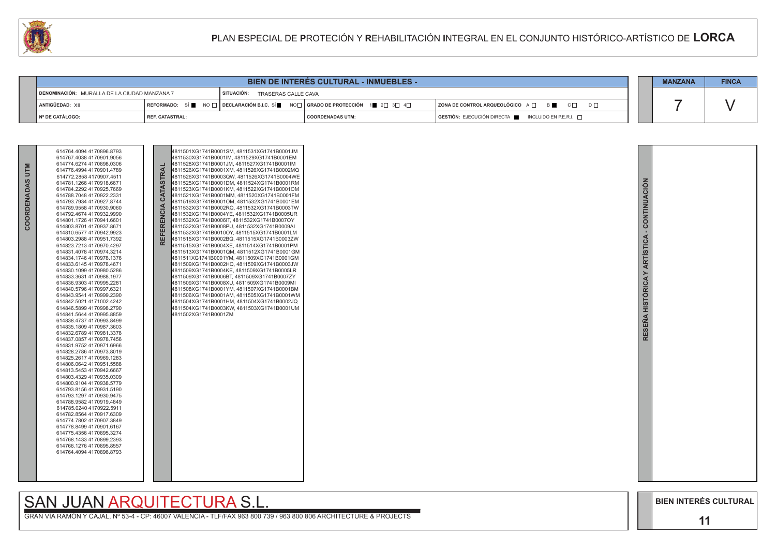GRAN VÍA RAMÓN Y CAJAL, Nº 53-4 - CP: 46007 VALENCIA - TLF/FAX 963 800 739 / 963 800 806 ARCHITECTURE & PROJECTS





| <b>CAN</b> |                                               |                        | PLAN ESPECIAL DE PROTECIÓN Y REHABILITACIÓN INTEGRAL EN EL CONJUNTO HISTÓRICO-ARTÍSTICO DE LORCA                                                                     |                         |  |                                                             |  |                |              |  |
|------------|-----------------------------------------------|------------------------|----------------------------------------------------------------------------------------------------------------------------------------------------------------------|-------------------------|--|-------------------------------------------------------------|--|----------------|--------------|--|
|            |                                               |                        |                                                                                                                                                                      |                         |  |                                                             |  |                |              |  |
|            | <b>BIEN DE INTERES CULTURAL - INMUEBLES -</b> |                        |                                                                                                                                                                      |                         |  |                                                             |  | <b>MANZANA</b> | <b>FINCA</b> |  |
|            | DENOMINACIÓN: MURALLA DE LA CIUDAD MANZANA 7  |                        | SITUACIÓN: TRASERAS CALLE CAVA                                                                                                                                       |                         |  |                                                             |  |                |              |  |
|            | ANTIGÜEDAD: XII                               |                        | REFORMADO: SÍ $\blacksquare$ NO $\square$ DECLARACIÓN B.I.C. SÍ $\blacksquare$ NO $\square$ GRADO DE PROTECCIÓN 1 $\blacksquare$ 2 $\square$ 3 $\square$ 4 $\square$ |                         |  | <b>ZONA DE CONTROL ARQUEOLÓGICO</b> A □ B B C □<br>$D \Box$ |  |                |              |  |
|            | Nº DE CATÁLOGO:                               | <b>REF. CATASTRAL:</b> |                                                                                                                                                                      | <b>COORDENADAS UTM:</b> |  | GESTIÓN: EJECUCIÓN DIRECTA ■ INCLUIDO EN P.E.R.I. □         |  |                |              |  |

| <b>NILD</b><br>COORDENADAS | 614764.4094 4170896.8793<br>614767.4038 4170901.9056<br>614774.6274 4170898.0306<br>614776.4994 4170901.4789<br>614772.2858 4170907.4511<br>614781.1266 4170918.6671<br>614784.2292 4170925.7669<br>614788.7048 4170922.2331<br>614793.7934 4170927.8744<br>614789.9558 4170930.9060<br>614792.4674 4170932.9990<br>614801.1726 4170941.6601<br>614803.8701 4170937.8671<br>614810.6577 4170942.9923<br>614803.2988 4170951.7392<br>614823.7213 4170970.4297<br>614831.4078 4170974.3214<br>614834.1746 4170978.1376<br>614833.6145 4170978.4671<br>614830.1099 4170980.5286<br>614833.3631 4170988.1977<br>614836.9303 4170995.2281<br>614840.5796 4170997.6321<br>614843.9541 4170999.2390<br>614842.5021 4171002.4242<br>614846.5899 4170998.2790<br>614841.5644 4170995.8859<br>614838.4737 4170993.8499<br>614835.1809 4170987.3603<br>614832.6789 4170981.3378<br>614837.0857 4170978.7456<br>614831.9752 4170971.6966<br>614828.2786 4170973.8019<br>614825.2617 4170969.1283<br>614806.0642 4170951.5588<br>614813.5453 4170942.6667<br>614803.4329 4170935.0309<br>614800.9104 4170938.5779<br>614793.8156 4170931.5190<br>614793.1297 4170930.9475<br>614788.9582 4170919.4849<br>614785.0240 4170922.5911<br>614782.8564 4170917.6309<br>614774.7802 4170907.3849<br>614778.8499 4170901.6167<br>614775.4356 4170895.3274<br>614768.1433 4170899.2393<br>614766.1276 4170895.8557<br>614764.4094 4170896.8793 |  | RAL<br>55<br><b>CATA:</b><br>ENCIA<br>$\alpha$<br>回<br>叵<br><b>RE</b> | 4811501XG1741B0001SM, 4811531XG1741B0001JM<br>4811530XG1741B0001IM, 4811529XG1741B0001EM<br>4811528XG1741B0001JM, 4811527XG1741B0001IM<br>4811526XG1741B0001XM, 4811526XG1741B0002MQ<br>4811526XG1741B0003QW, 4811526XG1741B0004WE<br>4811525XG1741B0001DM, 4811524XG1741B0001RM<br>4811523XG1741B0001KM, 4811522XG1741B0001OM<br>4811521XG1741B0001MM, 4811520XG1741B0001FM<br>4811519XG1741B0001OM, 4811532XG1741B0001EM<br>4811532XG1741B0002RQ.4811532XG1741B0003TW<br>4811532XG1741B0004YE, 4811532XG1741B0005UR<br>4811532XG1741B0006IT, 4811532XG1741B0007OY<br>4811532XG1741B0008PU, 4811532XG1741B0009AI<br>4811532XG1741B0010OY, 4811515XG1741B0001LM<br>4811515XG1741B0002BQ, 4811515XG1741B0003ZW<br>4811515XG1741B0004XE, 4811514XG1741B0001PM<br>4811513XG1741B0001QM, 4811512XG1741B0001GM<br>4811511XG1741B0001YM, 4811509XG1741B0001GM<br>4811509XG1741B0002HQ.4811509XG1741B0003JW<br>4811509XG1741B0004KE, 4811509XG1741B0005LR<br>4811509XG1741B0006BT, 4811509XG1741B0007ZY<br>4811509XG1741B0008XU, 4811509XG1741B0009MI<br>4811508XG1741B0001YM, 4811507XG1741B0001BM<br>4811506XG1741B0001AM, 4811505XG1741B0001WM<br>4811504XG1741B0001HM, 4811504XG1741B0002JQ<br>4811504XG1741B0003KW, 4811503XG1741B0001UM<br>4811502XG1741B0001ZM |  |
|----------------------------|--------------------------------------------------------------------------------------------------------------------------------------------------------------------------------------------------------------------------------------------------------------------------------------------------------------------------------------------------------------------------------------------------------------------------------------------------------------------------------------------------------------------------------------------------------------------------------------------------------------------------------------------------------------------------------------------------------------------------------------------------------------------------------------------------------------------------------------------------------------------------------------------------------------------------------------------------------------------------------------------------------------------------------------------------------------------------------------------------------------------------------------------------------------------------------------------------------------------------------------------------------------------------------------------------------------------------------------------------------------------------------------------------------------------------|--|-----------------------------------------------------------------------|----------------------------------------------------------------------------------------------------------------------------------------------------------------------------------------------------------------------------------------------------------------------------------------------------------------------------------------------------------------------------------------------------------------------------------------------------------------------------------------------------------------------------------------------------------------------------------------------------------------------------------------------------------------------------------------------------------------------------------------------------------------------------------------------------------------------------------------------------------------------------------------------------------------------------------------------------------------------------------------------------------------------------------------------------------------------------------------------------------------------------------------------------------------------------------------------------------------------------------------------------------------|--|
|----------------------------|--------------------------------------------------------------------------------------------------------------------------------------------------------------------------------------------------------------------------------------------------------------------------------------------------------------------------------------------------------------------------------------------------------------------------------------------------------------------------------------------------------------------------------------------------------------------------------------------------------------------------------------------------------------------------------------------------------------------------------------------------------------------------------------------------------------------------------------------------------------------------------------------------------------------------------------------------------------------------------------------------------------------------------------------------------------------------------------------------------------------------------------------------------------------------------------------------------------------------------------------------------------------------------------------------------------------------------------------------------------------------------------------------------------------------|--|-----------------------------------------------------------------------|----------------------------------------------------------------------------------------------------------------------------------------------------------------------------------------------------------------------------------------------------------------------------------------------------------------------------------------------------------------------------------------------------------------------------------------------------------------------------------------------------------------------------------------------------------------------------------------------------------------------------------------------------------------------------------------------------------------------------------------------------------------------------------------------------------------------------------------------------------------------------------------------------------------------------------------------------------------------------------------------------------------------------------------------------------------------------------------------------------------------------------------------------------------------------------------------------------------------------------------------------------------|--|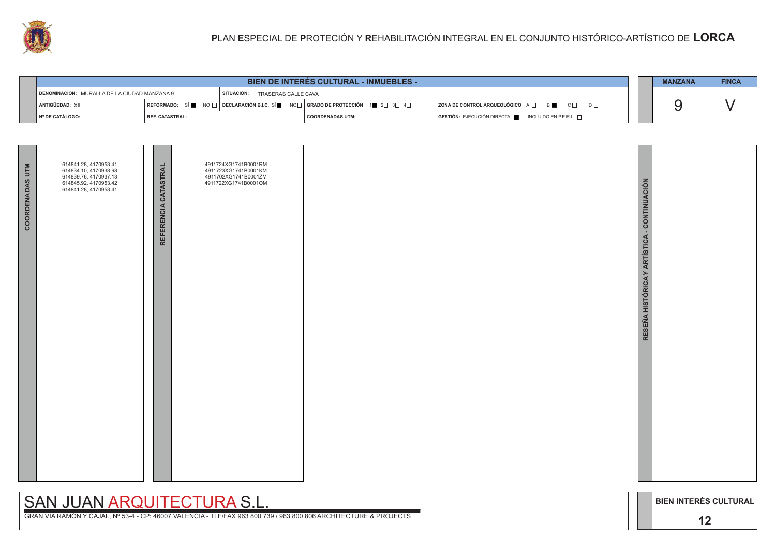GRAN VÍA RAMÓN Y CAJAL, Nº 53-4 - CP: 46007 VALENCIA - TLF/FAX 963 800 739 / 963 800 806 ARCHITECTURE & PROJECTS



|                                              |                        |                                                                                                          | <b>MANZANA</b>     | <b>FINCA</b> |                                                                        |  |  |  |
|----------------------------------------------|------------------------|----------------------------------------------------------------------------------------------------------|--------------------|--------------|------------------------------------------------------------------------|--|--|--|
| DENOMINACIÓN: MURALLA DE LA CIUDAD MANZANA 9 |                        | <sup>I</sup> SITUACIÓN:<br>TRASERAS CALLE CAVA                                                           |                    |              |                                                                        |  |  |  |
| ANTIGÜEDAD: XII                              |                        | REFORMADO: SÍ NO $\Box$ DECLARACIÓN B.I.C. SÍ NO $\Box$ GRADO DE PROTECCIÓN 1 2 $\Box$ 3 $\Box$ 4 $\Box$ |                    |              | ZONA DE CONTROL ARQUEOLÓGICO A □ B B C □ D □                           |  |  |  |
| │ Nº DE CATÁLOGO:                            | <b>REF. CATASTRAL:</b> |                                                                                                          | I COORDENADAS UTM: |              | $GESTIÓN: EJECUCIÓN DIRECTA \blacksquare INCLUIDO EN P.E.R.I. \square$ |  |  |  |

| <b>COORDENADAS UTM</b> | 614841.28, 4170953.41<br>614834.10, 4170938.98<br>614839.76, 4170937.13<br>614845.92, 4170953.42<br>614841.28, 4170953.41 | REFERENCIA CATASTRAL | 4911724XG1741B0001RM<br>4911723XG1741B0001KM<br>4911702XG1741B0001ZM<br>4911722XG1741B0001OM |  |
|------------------------|---------------------------------------------------------------------------------------------------------------------------|----------------------|----------------------------------------------------------------------------------------------|--|
|                        |                                                                                                                           |                      |                                                                                              |  |
|                        |                                                                                                                           |                      |                                                                                              |  |

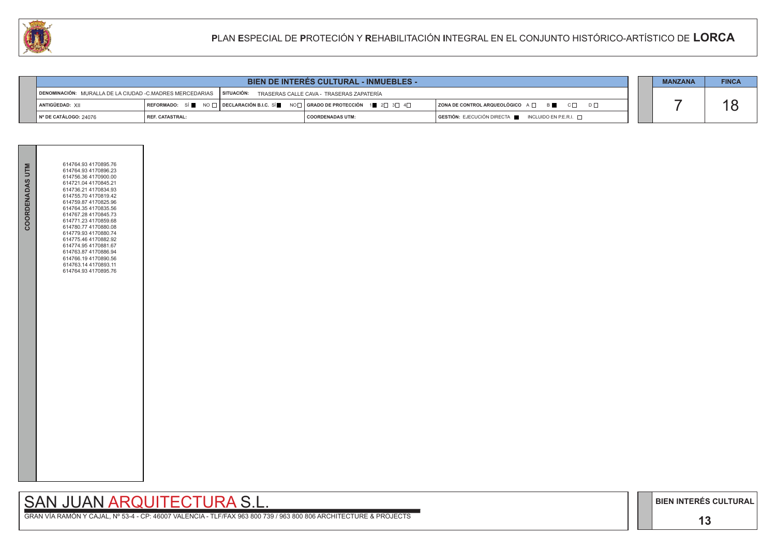## SAN JUAN ARQUITECTURA S.L.

GRAN VÍA RAMÓN Y CAJAL, Nº 53-4 - CP: 46007 VALENCIA - TLF/FAX 963 800 739 / 963 800 806 ARCHITECTURE & PROJECTS

|                                                                       | <b>BIEN DE INTERES CULTURAL - INMUEBLES -</b> |  |                                                                                                                                                       |                                                                                      |  |  |  |
|-----------------------------------------------------------------------|-----------------------------------------------|--|-------------------------------------------------------------------------------------------------------------------------------------------------------|--------------------------------------------------------------------------------------|--|--|--|
| DENOMINACIÓN: MURALLA DE LA CIUDAD -C.MADRES MERCEDARIAS   SITUACIÓN: |                                               |  | TRASERAS CALLE CAVA - TRASERAS ZAPATERÍA                                                                                                              |                                                                                      |  |  |  |
| ANTIGÜEDAD: XII                                                       |                                               |  | REFORMADO: SÍ $\blacksquare$ NO $\Box$ DECLARACIÓN B.I.C. SÍ $\blacksquare$ NO $\Box$ GRADO DE PROTECCIÓN 1 $\blacksquare$ 2 $\Box$ 3 $\Box$ 4 $\Box$ | ZONA DE CONTROL ARQUEOLÓGICO A □ B C □ D □                                           |  |  |  |
| Nº DE CATÁLOGO: 24076                                                 | <b>I REF. CATASTRAL:</b>                      |  | <b>COORDENADAS UTM:</b>                                                                                                                               | $\overline{)}$ GESTIÓN: EJECUCIÓN DIRECTA $\overline{)}$ INCLUIDO EN P.E.R.I. $\Box$ |  |  |  |

| <b>COORDENADAS UTM</b> | 614764.93 4170895.76<br>614764.93 4170896.23<br>614756.36 4170900.00<br>614721.04 4170845.21<br>614736.21 4170834.93<br>614755.70 4170819.42<br>614759.87 4170825.96<br>614764.35 4170835.56<br>614767.28 4170845.73<br>614771.23 4170859.68<br>614780.77 4170880.08<br>614779.93 4170880.74<br>614775.46 4170882.92<br>614774.95 4170881.67<br>614763.87 4170886.94<br>614766.19 4170890.56<br>614763.14 4170893.11<br>614764.93 4170895.76 |  |
|------------------------|----------------------------------------------------------------------------------------------------------------------------------------------------------------------------------------------------------------------------------------------------------------------------------------------------------------------------------------------------------------------------------------------------------------------------------------------|--|
|                        |                                                                                                                                                                                                                                                                                                                                                                                                                                              |  |

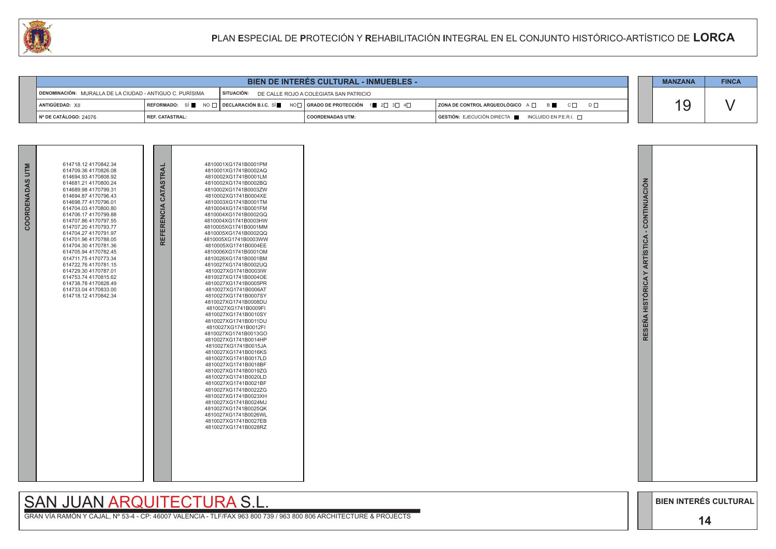GRAN VÍA RAMÓN Y CAJAL, Nº 53-4 - CP: 46007 VALENCIA - TLF/FAX 963 800 739 / 963 800 806 ARCHITECTURE & PROJECTS



| <b>BIEN DE INTERES CULTURAL - INMUEBLES -</b>                                                                 |                                                                                                                                                       |  |  |                         |  |                                                          | <b>MANZANA</b> | <b>FINCA</b> |
|---------------------------------------------------------------------------------------------------------------|-------------------------------------------------------------------------------------------------------------------------------------------------------|--|--|-------------------------|--|----------------------------------------------------------|----------------|--------------|
| SITUACIÓN: DE CALLE ROJO A COLEGIATA SAN PATRICIO<br>DENOMINACIÓN: MURALLA DE LA CIUDAD - ANTIGUO C. PURÍSIMA |                                                                                                                                                       |  |  |                         |  |                                                          |                |              |
| ANTIGÜEDAD: XII                                                                                               | REFORMADO: SÍ $\blacksquare$ NO $\Box$ DECLARACIÓN B.I.C. SÍ $\blacksquare$ NO $\Box$ GRADO DE PROTECCIÓN 1 $\blacksquare$ 2 $\Box$ 3 $\Box$ 4 $\Box$ |  |  |                         |  | ZONA DE CONTROL ARQUEOLÓGICO A □ B C □ D □               |                |              |
| $\vert$ N° DE CATÁLOGO: 24076                                                                                 | I REF. CATASTRAL:                                                                                                                                     |  |  | <b>COORDENADAS UTM:</b> |  | $GESTIÓN: EJECUCIÓN DIRECTA$ INCLUIDO EN P.E.R.I. $\Box$ |                |              |

| COORDENADAS UTM | 614718.12 4170842.34<br>614709.36 4170826.08<br>614694.93 4170808.92<br>614681.21 4170800.24<br>614689.98 4170799.31<br>614694.87 4170796.43<br>614698.77 4170796.01<br>614704.03 4170800.80<br>614706.17 4170799.88<br>614707.86 4170797.55<br>614707.20 4170793.77<br>614704.27 4170791.97<br>614701.96 4170788.05<br>614704.30 4170781.36<br>614705.94 4170782.45<br>614711.75 4170773.34<br>614722.76 4170781.15<br>614729.30 4170787.01<br>614753.74 4170815.62<br>614738.784170828.49<br>614733.04 4170833.00<br>614718.12 4170842.34 | REFERENCIA CATASTRAL | 4810001XG1741B0001PM<br>4810001XG1741B0002AQ<br>4810002XG1741B0001LM<br>4810002XG1741B0002BQ<br>4810002XG1741B0003ZW<br>4810002XG1741B0004XE<br>4810003XG1741B0001TM<br>4810004XG1741B0001FM<br>4810004XG1741B0002GQ<br>4810004XG1741B0003HW<br>4810005XG1741B0001MM<br>4810005XG1741B0002QQ<br>4810005XG1741B0003WW<br>4810005XG1741B0004EE<br>4810006XG1741B0001OM<br>4810026XG1741B0001BM<br>4810027XG1741B0002UQ<br>4810027XG1741B0003IW<br>4810027XG1741B0004OE<br>4810027XG1741B0005PR<br>4810027XG1741B0006AT<br>4810027XG1741B0007SY<br>4810027XG1741B0008DU<br>4810027XG1741B0009FI<br>4810027XG1741B0010SY<br>4810027XG1741B0011DU<br>4810027XG1741B0012FI<br>4810027XG1741B0013GO<br>4810027XG1741B0014HP<br>4810027XG1741B0015JA<br>4810027XG1741B0016KS<br>4810027XG1741B0017LD<br>4810027XG1741B0018BF<br>4810027XG1741B0019ZG<br>4810027XG1741B0020LD<br>4810027XG1741B0021BF<br>4810027XG1741B0022ZG<br>4810027XG1741B0023XH<br>4810027XG1741B0024MJ<br>4810027XG1741B0025QK<br>4810027XG1741B0026WL<br>4810027XG1741B0027EB<br>4810027XG1741B0028RZ |  |
|-----------------|---------------------------------------------------------------------------------------------------------------------------------------------------------------------------------------------------------------------------------------------------------------------------------------------------------------------------------------------------------------------------------------------------------------------------------------------------------------------------------------------------------------------------------------------|----------------------|----------------------------------------------------------------------------------------------------------------------------------------------------------------------------------------------------------------------------------------------------------------------------------------------------------------------------------------------------------------------------------------------------------------------------------------------------------------------------------------------------------------------------------------------------------------------------------------------------------------------------------------------------------------------------------------------------------------------------------------------------------------------------------------------------------------------------------------------------------------------------------------------------------------------------------------------------------------------------------------------------------------------------------------------------------------------|--|

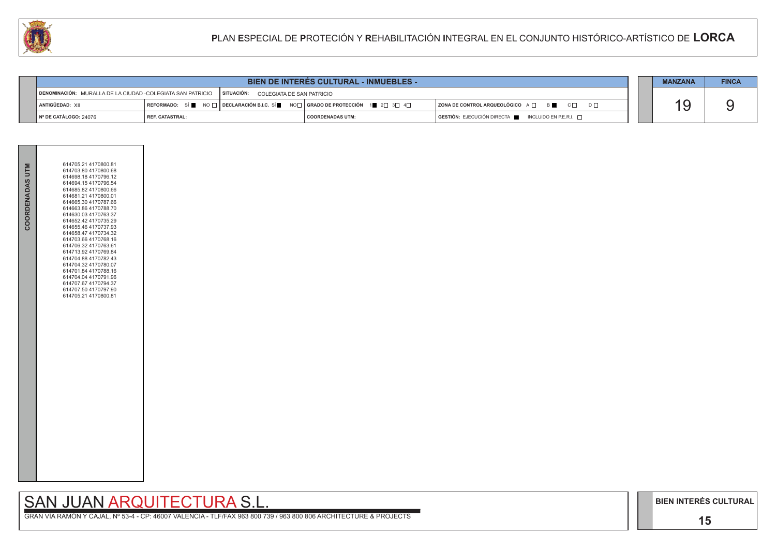GRAN VÍA RAMÓN Y CAJAL, Nº 53-4 - CP: 46007 VALENCIA - TLF/FAX 963 800 739 / 963 800 806 ARCHITECTURE & PROJECTS

|  | <b>MANZANA</b> | <b>FINCA</b> |
|--|----------------|--------------|
|  |                |              |
|  |                |              |
|  |                |              |

|                                                                                                   | <b>BIEN DE INTERES CULTURAL - INMUEBLES -</b>                                                                                                                      |  |                         |  |                                                                                              |  |  | <b>FINCA</b> |
|---------------------------------------------------------------------------------------------------|--------------------------------------------------------------------------------------------------------------------------------------------------------------------|--|-------------------------|--|----------------------------------------------------------------------------------------------|--|--|--------------|
| DENOMINACIÓN: MURALLA DE LA CIUDAD -COLEGIATA SAN PATRICIO   SITUACIÓN: COLEGIATA DE SAN PATRICIO |                                                                                                                                                                    |  |                         |  |                                                                                              |  |  |              |
| ANTIGÜEDAD: XII                                                                                   | REFORMADO: SÍ $\blacksquare$ NO $\square$ DECLARACIÓN B.I.C. SÍ $\blacksquare$ NO $\square$ GRADO DE PROTECCIÓN $\blacksquare$ 2 $\square$ 3 $\square$ 4 $\square$ |  |                         |  | $ $ ZONA DE CONTROL ARQUEOLÓGICO $A \Box$ $B$ $C \Box$ $D \Box$                              |  |  |              |
| Nº DE CATÁLOGO: 24076                                                                             | I REF. CATASTRAL:                                                                                                                                                  |  | <b>COORDENADAS UTM:</b> |  | $\overline{S}$ GESTIÓN: EJECUCIÓN DIRECTA $\overline{S}$ INCLUIDO EN P.E.R.I. $\overline{S}$ |  |  |              |

| COORDENADAS UTM | 614705.21 4170800.81<br>614703.80 4170800.68<br>614698.18 4170796.12<br>614694.15 4170796.54<br>614685.82 4170800.66<br>614681.21 4170800.01<br>614665.30 4170787.66<br>614663.86 4170788.70<br>614630.03 4170763.37<br>614652.42 4170735.29<br>614655.46 4170737.93<br>614658.47 4170734.32<br>614703.66 4170768.16<br>614706.32 4170763.61<br>614713.92 4170769.84<br>614704.88 4170782.43<br>614704.32 4170780.07<br>614701.84 4170788.16<br>614704.04 4170791.96<br>614707.67 4170794.37<br>614707.50 4170797.90<br>614705.21 4170800.81 |  |
|-----------------|----------------------------------------------------------------------------------------------------------------------------------------------------------------------------------------------------------------------------------------------------------------------------------------------------------------------------------------------------------------------------------------------------------------------------------------------------------------------------------------------------------------------------------------------|--|
|                 |                                                                                                                                                                                                                                                                                                                                                                                                                                                                                                                                              |  |

# SAN JUAN ARQUITECTURA S.L.

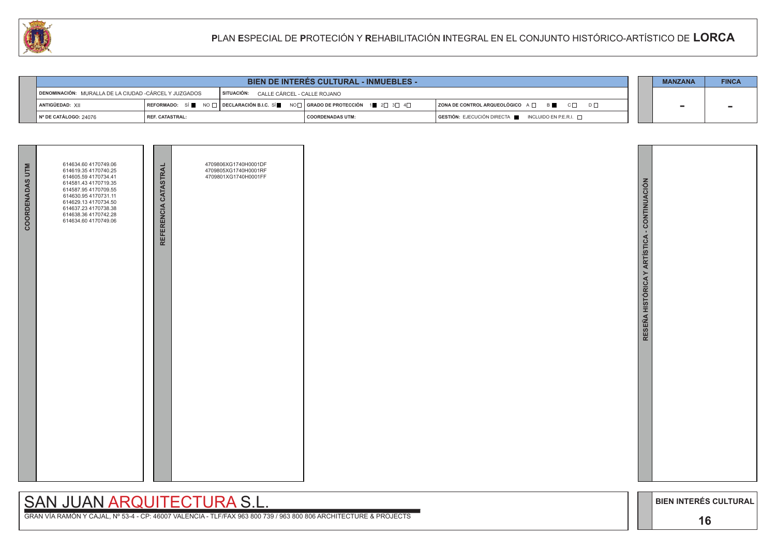GRAN VÍA RAMÓN Y CAJAL, Nº 53-4 - CP: 46007 VALENCIA - TLF/FAX 963 800 739 / 963 800 806 ARCHITECTURE & PROJECTS



| <b>BIEN DE INTERES CULTURAL - INMUEBLES -</b>                                                   |                   |  |                                                                                                                                                     |  |                                                          |  |  | <b>FINCA</b> |
|-------------------------------------------------------------------------------------------------|-------------------|--|-----------------------------------------------------------------------------------------------------------------------------------------------------|--|----------------------------------------------------------|--|--|--------------|
| SITUACIÓN: CALLE CÁRCEL - CALLE ROJANO<br>DENOMINACIÓN: MURALLA DE LA CIUDAD -CÁRCEL Y JUZGADOS |                   |  |                                                                                                                                                     |  |                                                          |  |  |              |
| ANTIGÜEDAD: XII                                                                                 |                   |  | $\mid$ REFORMADO: SÍ █ NO $\sqcap$ $\mid$ DECLARACIÓN B.I.C. SÍ █ NO $\sqcap$ $\mid$ GRADO DE PROTECCIÓN $\mid$ 1■ 2 $\sqcap$ 3 $\sqcap$ 4 $\sqcap$ |  | ZONA DE CONTROL ARQUEOLÓGICO A □ B C □ D □               |  |  |              |
| $\vert$ N° DE CATÁLOGO: 24076                                                                   | l REF. CATASTRAL: |  | I COORDENADAS UTM:                                                                                                                                  |  | $GESTIÓN: EJECUCIÓN DIRECTA$ INCLUIDO EN P.E.R.I. $\Box$ |  |  |              |

| <b>COORDENADAS UTM</b> | 614634.60 4170749.06<br>614619.35 4170740.25<br>614605.59 4170734.41<br>614581.43 4170719.35<br>614587.95 4170709.55<br>614630.95 4170731.11<br>614629.13 4170734.50<br>614637.23 4170738.38<br>614638.36 4170742.28<br>614634.60 4170749.06 | REFERENCIA CATASTRAL | 4709806XG1740H0001DF<br>4709805XG1740H0001RF<br>4709801XG1740H0001FF |
|------------------------|----------------------------------------------------------------------------------------------------------------------------------------------------------------------------------------------------------------------------------------------|----------------------|----------------------------------------------------------------------|
|                        |                                                                                                                                                                                                                                              |                      |                                                                      |

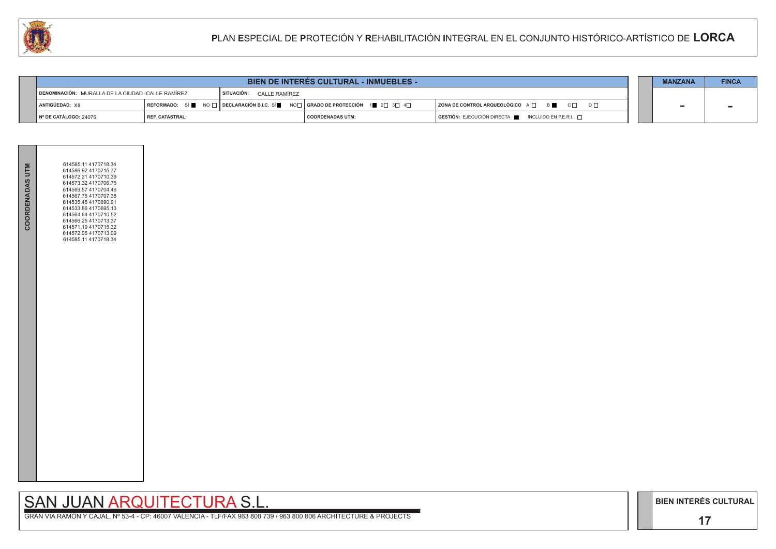## SAN JUAN ARQUITECTURA S.L.

GRAN VÍA RAMÓN Y CAJAL, Nº 53-4 - CP: 46007 VALENCIA - TLF/FAX 963 800 739 / 963 800 806 ARCHITECTURE & PROJECTS

|                                                                               | <b>BIEN DE INTERES CULTURAL - INMUEBLES -</b> |                                                                                                              |                         |  |                                                 |  |  | <b>FINCA</b> |
|-------------------------------------------------------------------------------|-----------------------------------------------|--------------------------------------------------------------------------------------------------------------|-------------------------|--|-------------------------------------------------|--|--|--------------|
| DENOMINACIÓN: MURALLA DE LA CIUDAD -CALLE RAMÍREZ<br>SITUACIÓN: CALLE RAMÍREZ |                                               |                                                                                                              |                         |  |                                                 |  |  |              |
| ANTIGÜEDAD: XII                                                               |                                               | REFORMADO: SÍ NO $\Box$ DECLARACIÓN B.I.C. SÍ NO $\Box$ REFORMADO DE PROTECCIÓN 1 2 $\Box$ 3 $\Box$ 4 $\Box$ |                         |  | ZONA DE CONTROL ARQUEOLÓGICO A □ B C □ D □      |  |  |              |
| $\vert$ N° DE CATÁLOGO: 24076                                                 | <b>I REF. CATASTRAL:</b>                      |                                                                                                              | <b>COORDENADAS UTM:</b> |  | GESTIÓN: EJECUCIÓN DIRECTA NICLUIDO EN P.E.R.I. |  |  |              |

| <b>COORDENADAS UTM</b> | 614585.11 4170718.34<br>614586.92 4170715.77<br>614572.21 4170710.39<br>614573.32 4170706.75<br>614569.57 4170704.46<br>614567.75 4170707.38<br>614535.45 4170690.91<br>614533.86 4170695.13<br>614564.64 4170710.52<br>614566.25 4170713.37<br>614571.19 4170715.32<br>614572.05 4170713.09<br>614585.11 4170718.34 |  |
|------------------------|----------------------------------------------------------------------------------------------------------------------------------------------------------------------------------------------------------------------------------------------------------------------------------------------------------------------|--|
|                        |                                                                                                                                                                                                                                                                                                                      |  |